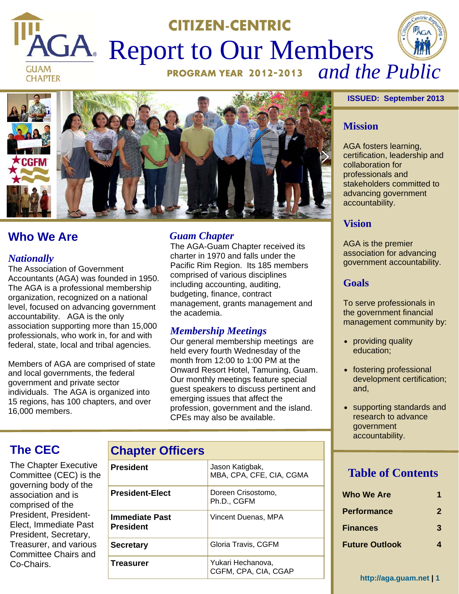# **CITIZEN-CENTRIC PAGA** Report to Our Members **GUAM**

**CHAPTER** 



# **Who We Are**

#### *Nationally*

The Association of Government Accountants (AGA) was founded in 1950. The AGA is a professional membership organization, recognized on a national level, focused on advancing government accountability. AGA is the only association supporting more than 15,000 professionals, who work in, for and with federal, state, local and tribal agencies.

Members of AGA are comprised of state and local governments, the federal government and private sector individuals. The AGA is organized into 15 regions, has 100 chapters, and over 16,000 members.

## *Guam Chapter*

The AGA-Guam Chapter received its charter in 1970 and falls under the Pacific Rim Region. Its 185 members comprised of various disciplines including accounting, auditing, budgeting, finance, contract management, grants management and the academia.

# *Membership Meetings*

Our general membership meetings are held every fourth Wednesday of the month from 12:00 to 1:00 PM at the Onward Resort Hotel, Tamuning, Guam. Our monthly meetings feature special guest speakers to discuss pertinent and emerging issues that affect the profession, government and the island. CPEs may also be available.

# **The CEC**

The Chapter Executive Committee (CEC) is the governing body of the association and is comprised of the President, President-Elect, Immediate Past President, Secretary, Treasurer, and various Committee Chairs and Co-Chairs.

| <b>Chapter Officers</b> |
|-------------------------|
|                         |

| President                   | Jason Katigbak,<br>MBA, CPA, CFE, CIA, CGMA |
|-----------------------------|---------------------------------------------|
| President-Elect             | Doreen Crisostomo,<br>Ph.D., CGFM           |
| Immediate Past<br>President | Vincent Duenas, MPA                         |
| Secretary                   | Gloria Travis, CGFM                         |
| Treasurer                   | Yukari Hechanova,<br>CGFM, CPA, CIA, CGAP   |

#### **ISSUED: September 2013**

#### **Mission**

AGA fosters learning, certification, leadership and collaboration for professionals and stakeholders committed to advancing government accountability.

#### **Vision**

AGA is the premier association for advancing government accountability.

## **Goals**

To serve professionals in the government financial management community by:

- providing quality education;
- fostering professional development certification; and,
- supporting standards and research to advance government accountability.

# **Table of Contents**

| <b>Who We Are</b>     |              |
|-----------------------|--------------|
| <b>Performance</b>    | $\mathbf{2}$ |
| Finances              | 3            |
| <b>Future Outlook</b> |              |

**http://aga.guam.net | 1**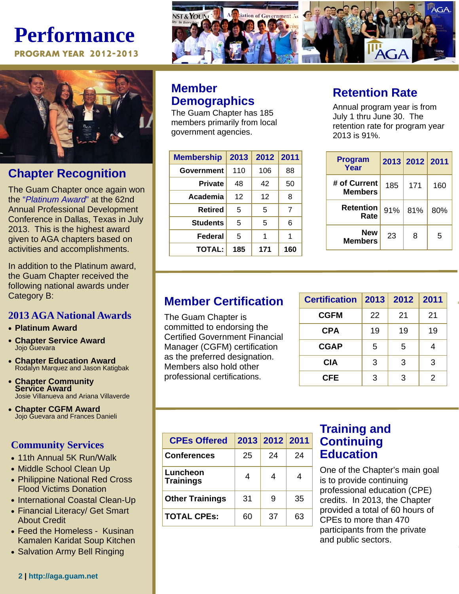# **Performance**

**PROGRAM YEAR 2012-2013**



# **Chapter Recognition**

The Guam Chapter once again won the "*Platinum Award*" at the 62nd Annual Professional Development Conference in Dallas, Texas in July 2013. This is the highest award given to AGA chapters based on activities and accomplishments.

In addition to the Platinum award, the Guam Chapter received the following national awards under Category B:

## **2013 AGA National Awards**

- **Platinum Award**
- **Chapter Service Award**  Jojo Guevara
- **Chapter Education Award**  Rodalyn Marquez and Jason Katigbak
- **Chapter Community Service Award**  Josie Villanueva and Ariana Villaverde
- **Chapter CGFM Award**  Jojo Guevara and Frances Danieli

# **Community Services**

- 11th Annual 5K Run/Walk
- Middle School Clean Up
- Philippine National Red Cross Flood Victims Donation
- International Coastal Clean-Up
- Financial Literacy/ Get Smart About Credit
- Feed the Homeless Kusinan Kamalen Karidat Soup Kitchen
- Salvation Army Bell Ringing



# **Member Demographics**

The Guam Chapter has 185 members primarily from local government agencies.

| <b>Membership</b> | 2013 | 2012 | 2011 |
|-------------------|------|------|------|
| Government        | 110  | 106  | 88   |
| <b>Private</b>    | 48   | 42   | 50   |
| Academia          | 12   | 12   | 8    |
| <b>Retired</b>    | 5    | 5    | 7    |
| <b>Students</b>   | 5    | 5    | 6    |
| Federal           | 5    | 1    | 1    |
| <b>TOTAL:</b>     | 185  | 171  | 160  |

# **Retention Rate**

Annual program year is from July 1 thru June 30. The retention rate for program year 2013 is 91%.

| <b>Program</b><br>Year         |     | 2013 2012 2011 |     |
|--------------------------------|-----|----------------|-----|
| # of Current<br><b>Members</b> | 185 | 171            | 160 |
| <b>Retention</b><br>Rate       | 91% | 81%            | 80% |
| <b>New</b><br><b>Members</b>   | 23  | 8              | 5   |

# **Member Certification**

The Guam Chapter is committed to endorsing the Certified Government Financial Manager (CGFM) certification as the preferred designation. Members also hold other professional certifications.

| <b>Certification</b> | 2013 | 2012 | 2011 |
|----------------------|------|------|------|
| <b>CGFM</b>          | 22   | 21   | 21   |
| <b>CPA</b>           | 19   | 19   | 19   |
| <b>CGAP</b>          | 5    | 5    |      |
| CIA                  | 3    | 3    | 3    |
| CFE                  | 3    | 3    | 2    |

| <b>CPEs Offered</b>          |    | 2013 2012 2011 |    |
|------------------------------|----|----------------|----|
| <b>Conferences</b>           | 25 | 24             | 24 |
| Luncheon<br><b>Trainings</b> | 4  |                | 4  |
| <b>Other Trainings</b>       | 31 | 9              | 35 |
| <b>TOTAL CPES:</b>           | 60 | 37             | 63 |

# **Training and Continuing Education**

One of the Chapter's main goal is to provide continuing professional education (CPE) credits. In 2013, the Chapter provided a total of 60 hours of CPEs to more than 470 participants from the private and public sectors.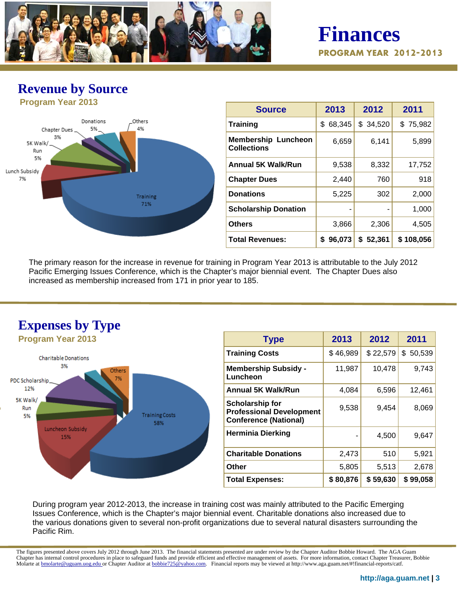

**Finances PROGRAM YEAR 2012-2013**

# **Revenue by Source**



| <b>Source</b>                                    | 2013         | 2012        | 2011      |
|--------------------------------------------------|--------------|-------------|-----------|
| <b>Training</b>                                  | 68,345<br>\$ | \$34,520    | \$75,982  |
| <b>Membership Luncheon</b><br><b>Collections</b> | 6,659        | 6,141       | 5,899     |
| <b>Annual 5K Walk/Run</b>                        | 9,538        | 8,332       | 17,752    |
| <b>Chapter Dues</b>                              | 2,440        | 760         | 918       |
| <b>Donations</b>                                 | 5,225        | 302         | 2,000     |
| <b>Scholarship Donation</b>                      |              |             | 1,000     |
| <b>Others</b>                                    | 3,866        | 2,306       | 4,505     |
| <b>Total Revenues:</b>                           | 96,073<br>S  | 52,361<br>S | \$108,056 |

The primary reason for the increase in revenue for training in Program Year 2013 is attributable to the July 2012 Pacific Emerging Issues Conference, which is the Chapter's major biennial event. The Chapter Dues also increased as membership increased from 171 in prior year to 185.



| <b>Type</b>                                                                               | 2013     | 2012     | 2011     |
|-------------------------------------------------------------------------------------------|----------|----------|----------|
| <b>Training Costs</b>                                                                     | \$46,989 | \$22,579 | \$50,539 |
| <b>Membership Subsidy -</b><br>Luncheon                                                   | 11,987   | 10,478   | 9,743    |
| <b>Annual 5K Walk/Run</b>                                                                 | 4,084    | 6,596    | 12,461   |
| <b>Scholarship for</b><br><b>Professional Development</b><br><b>Conference (National)</b> | 9,538    | 9,454    | 8,069    |
| <b>Herminia Dierking</b>                                                                  |          | 4,500    | 9,647    |
| <b>Charitable Donations</b>                                                               | 2,473    | 510      | 5,921    |
| <b>Other</b>                                                                              | 5,805    | 5,513    | 2,678    |
| <b>Total Expenses:</b>                                                                    | \$80,876 | \$59,630 | \$99,058 |

During program year 2012-2013, the increase in training cost was mainly attributed to the Pacific Emerging Issues Conference, which is the Chapter's major biennial event. Charitable donations also increased due to the various donations given to several non-profit organizations due to several natural disasters surrounding the Pacific Rim.

The figures presented above covers July 2012 through June 2013. The financial statements presented are under review by the Chapter Auditor Bobbie Howard. The AGA Guam Chapter has internal control procedures in place to safeguard funds and provide efficient and effective management of assets. For more information, contact Chapter Treasurer, Bobbie Molarte at **bmolarte@uguam.uog.edu** or Chapter Auditor at bobbie725@yahoo.com. Financial reports may be viewed at http://www.aga.guam.net/#!financial-reports/catf.